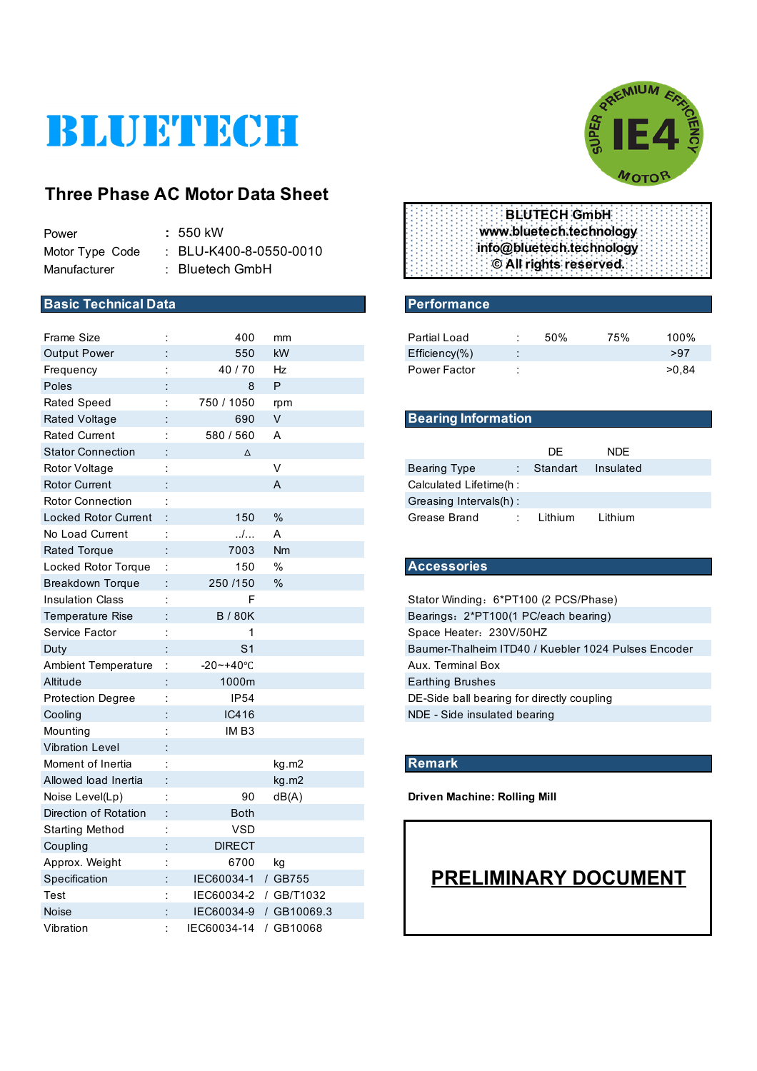# BLUETECH

## **Three Phase AC Motor Data Sheet**

| Power           | $: 550$ kW                        |
|-----------------|-----------------------------------|
| Motor Type Code | $\therefore$ BLU-K400-8-0550-0010 |
| Manufacturer    | $:$ Bluetech GmbH                 |

#### **Basic Technical Data** Performance

| 550<br>kW<br>>97<br><b>Output Power</b><br>$Efficiency(\% )$<br>>0,84<br>40/70<br>Hz<br>Power Factor<br>Frequency<br>$\ddot{\cdot}$<br>P<br>Poles<br>8<br>750 / 1050<br><b>Rated Speed</b><br>÷<br>rpm<br><b>Bearing Information</b><br>690<br>V<br><b>Rated Voltage</b><br><b>Rated Current</b><br>580 / 560<br>t<br>Α<br>DE<br><b>Stator Connection</b><br><b>NDE</b><br>$\Delta$<br>V<br>Rotor Voltage<br><b>Bearing Type</b><br>Standart<br>Insulated<br>÷<br><b>Rotor Current</b><br>A<br>Calculated Lifetime(h :<br><b>Rotor Connection</b><br>Greasing Intervals(h):<br>÷<br>%<br><b>Locked Rotor Current</b><br>150<br>Grease Brand<br>Lithium<br>Lithium<br>$\ldots$<br>No Load Current<br>÷<br>Α<br>7003<br>Nm<br><b>Rated Torque</b><br><b>Accessories</b><br>150<br>$\%$<br>Locked Rotor Torque<br>÷<br>250 /150<br>$\%$<br><b>Breakdown Torque</b><br>÷<br>F<br><b>Insulation Class</b><br>Stator Winding: 6*PT100 (2 PCS/Phase)<br>÷<br><b>B/80K</b><br><b>Temperature Rise</b><br>Bearings: 2*PT100(1 PC/each bearing)<br>Service Factor<br>1<br>Space Heater: 230V/50HZ<br>÷<br>S <sub>1</sub><br>Baumer-Thalheim ITD40 / Kuebler 1024 Pulses Encoder<br>Duty<br><b>Ambient Temperature</b><br>$\ddot{\cdot}$<br>$-20 - +40$ °C<br>Aux. Terminal Box<br>Altitude<br>1000m<br><b>Earthing Brushes</b><br><b>Protection Degree</b><br>IP54<br>ċ<br>DE-Side ball bearing for directly coupling<br>IC416<br>NDE - Side insulated bearing<br>Cooling<br>IMB3<br>Mounting<br><b>Vibration Level</b><br><b>Remark</b><br>Moment of Inertia<br>kg.m2<br>Allowed load Inertia<br>kg.m2<br>dB(A)<br>Noise Level(Lp)<br>90<br><b>Driven Machine: Rolling Mill</b><br>t<br>Direction of Rotation<br><b>Both</b><br><b>VSD</b><br><b>Starting Method</b><br><b>DIRECT</b><br>Coupling<br>6700<br>Approx. Weight<br>kg<br>÷<br><b>PRELIMINARY DOCUMENT</b><br>Specification<br>IEC60034-1 / GB755<br>÷<br>IEC60034-2 / GB/T1032<br>Test<br>IEC60034-9 / GB10069.3<br><b>Noise</b><br>IEC60034-14 / GB10068<br>Vibration | <b>Frame Size</b> | 400 | mm | Partial Load | ÷ | 50% | 75% | 100% |
|---------------------------------------------------------------------------------------------------------------------------------------------------------------------------------------------------------------------------------------------------------------------------------------------------------------------------------------------------------------------------------------------------------------------------------------------------------------------------------------------------------------------------------------------------------------------------------------------------------------------------------------------------------------------------------------------------------------------------------------------------------------------------------------------------------------------------------------------------------------------------------------------------------------------------------------------------------------------------------------------------------------------------------------------------------------------------------------------------------------------------------------------------------------------------------------------------------------------------------------------------------------------------------------------------------------------------------------------------------------------------------------------------------------------------------------------------------------------------------------------------------------------------------------------------------------------------------------------------------------------------------------------------------------------------------------------------------------------------------------------------------------------------------------------------------------------------------------------------------------------------------------------------------------------------------------------------------------------------------------------------------------------------|-------------------|-----|----|--------------|---|-----|-----|------|
|                                                                                                                                                                                                                                                                                                                                                                                                                                                                                                                                                                                                                                                                                                                                                                                                                                                                                                                                                                                                                                                                                                                                                                                                                                                                                                                                                                                                                                                                                                                                                                                                                                                                                                                                                                                                                                                                                                                                                                                                                           |                   |     |    |              |   |     |     |      |
|                                                                                                                                                                                                                                                                                                                                                                                                                                                                                                                                                                                                                                                                                                                                                                                                                                                                                                                                                                                                                                                                                                                                                                                                                                                                                                                                                                                                                                                                                                                                                                                                                                                                                                                                                                                                                                                                                                                                                                                                                           |                   |     |    |              |   |     |     |      |
|                                                                                                                                                                                                                                                                                                                                                                                                                                                                                                                                                                                                                                                                                                                                                                                                                                                                                                                                                                                                                                                                                                                                                                                                                                                                                                                                                                                                                                                                                                                                                                                                                                                                                                                                                                                                                                                                                                                                                                                                                           |                   |     |    |              |   |     |     |      |
|                                                                                                                                                                                                                                                                                                                                                                                                                                                                                                                                                                                                                                                                                                                                                                                                                                                                                                                                                                                                                                                                                                                                                                                                                                                                                                                                                                                                                                                                                                                                                                                                                                                                                                                                                                                                                                                                                                                                                                                                                           |                   |     |    |              |   |     |     |      |
|                                                                                                                                                                                                                                                                                                                                                                                                                                                                                                                                                                                                                                                                                                                                                                                                                                                                                                                                                                                                                                                                                                                                                                                                                                                                                                                                                                                                                                                                                                                                                                                                                                                                                                                                                                                                                                                                                                                                                                                                                           |                   |     |    |              |   |     |     |      |
|                                                                                                                                                                                                                                                                                                                                                                                                                                                                                                                                                                                                                                                                                                                                                                                                                                                                                                                                                                                                                                                                                                                                                                                                                                                                                                                                                                                                                                                                                                                                                                                                                                                                                                                                                                                                                                                                                                                                                                                                                           |                   |     |    |              |   |     |     |      |
|                                                                                                                                                                                                                                                                                                                                                                                                                                                                                                                                                                                                                                                                                                                                                                                                                                                                                                                                                                                                                                                                                                                                                                                                                                                                                                                                                                                                                                                                                                                                                                                                                                                                                                                                                                                                                                                                                                                                                                                                                           |                   |     |    |              |   |     |     |      |
|                                                                                                                                                                                                                                                                                                                                                                                                                                                                                                                                                                                                                                                                                                                                                                                                                                                                                                                                                                                                                                                                                                                                                                                                                                                                                                                                                                                                                                                                                                                                                                                                                                                                                                                                                                                                                                                                                                                                                                                                                           |                   |     |    |              |   |     |     |      |
|                                                                                                                                                                                                                                                                                                                                                                                                                                                                                                                                                                                                                                                                                                                                                                                                                                                                                                                                                                                                                                                                                                                                                                                                                                                                                                                                                                                                                                                                                                                                                                                                                                                                                                                                                                                                                                                                                                                                                                                                                           |                   |     |    |              |   |     |     |      |
|                                                                                                                                                                                                                                                                                                                                                                                                                                                                                                                                                                                                                                                                                                                                                                                                                                                                                                                                                                                                                                                                                                                                                                                                                                                                                                                                                                                                                                                                                                                                                                                                                                                                                                                                                                                                                                                                                                                                                                                                                           |                   |     |    |              |   |     |     |      |
|                                                                                                                                                                                                                                                                                                                                                                                                                                                                                                                                                                                                                                                                                                                                                                                                                                                                                                                                                                                                                                                                                                                                                                                                                                                                                                                                                                                                                                                                                                                                                                                                                                                                                                                                                                                                                                                                                                                                                                                                                           |                   |     |    |              |   |     |     |      |
|                                                                                                                                                                                                                                                                                                                                                                                                                                                                                                                                                                                                                                                                                                                                                                                                                                                                                                                                                                                                                                                                                                                                                                                                                                                                                                                                                                                                                                                                                                                                                                                                                                                                                                                                                                                                                                                                                                                                                                                                                           |                   |     |    |              |   |     |     |      |
|                                                                                                                                                                                                                                                                                                                                                                                                                                                                                                                                                                                                                                                                                                                                                                                                                                                                                                                                                                                                                                                                                                                                                                                                                                                                                                                                                                                                                                                                                                                                                                                                                                                                                                                                                                                                                                                                                                                                                                                                                           |                   |     |    |              |   |     |     |      |
|                                                                                                                                                                                                                                                                                                                                                                                                                                                                                                                                                                                                                                                                                                                                                                                                                                                                                                                                                                                                                                                                                                                                                                                                                                                                                                                                                                                                                                                                                                                                                                                                                                                                                                                                                                                                                                                                                                                                                                                                                           |                   |     |    |              |   |     |     |      |
|                                                                                                                                                                                                                                                                                                                                                                                                                                                                                                                                                                                                                                                                                                                                                                                                                                                                                                                                                                                                                                                                                                                                                                                                                                                                                                                                                                                                                                                                                                                                                                                                                                                                                                                                                                                                                                                                                                                                                                                                                           |                   |     |    |              |   |     |     |      |
|                                                                                                                                                                                                                                                                                                                                                                                                                                                                                                                                                                                                                                                                                                                                                                                                                                                                                                                                                                                                                                                                                                                                                                                                                                                                                                                                                                                                                                                                                                                                                                                                                                                                                                                                                                                                                                                                                                                                                                                                                           |                   |     |    |              |   |     |     |      |
|                                                                                                                                                                                                                                                                                                                                                                                                                                                                                                                                                                                                                                                                                                                                                                                                                                                                                                                                                                                                                                                                                                                                                                                                                                                                                                                                                                                                                                                                                                                                                                                                                                                                                                                                                                                                                                                                                                                                                                                                                           |                   |     |    |              |   |     |     |      |
|                                                                                                                                                                                                                                                                                                                                                                                                                                                                                                                                                                                                                                                                                                                                                                                                                                                                                                                                                                                                                                                                                                                                                                                                                                                                                                                                                                                                                                                                                                                                                                                                                                                                                                                                                                                                                                                                                                                                                                                                                           |                   |     |    |              |   |     |     |      |
|                                                                                                                                                                                                                                                                                                                                                                                                                                                                                                                                                                                                                                                                                                                                                                                                                                                                                                                                                                                                                                                                                                                                                                                                                                                                                                                                                                                                                                                                                                                                                                                                                                                                                                                                                                                                                                                                                                                                                                                                                           |                   |     |    |              |   |     |     |      |
|                                                                                                                                                                                                                                                                                                                                                                                                                                                                                                                                                                                                                                                                                                                                                                                                                                                                                                                                                                                                                                                                                                                                                                                                                                                                                                                                                                                                                                                                                                                                                                                                                                                                                                                                                                                                                                                                                                                                                                                                                           |                   |     |    |              |   |     |     |      |
|                                                                                                                                                                                                                                                                                                                                                                                                                                                                                                                                                                                                                                                                                                                                                                                                                                                                                                                                                                                                                                                                                                                                                                                                                                                                                                                                                                                                                                                                                                                                                                                                                                                                                                                                                                                                                                                                                                                                                                                                                           |                   |     |    |              |   |     |     |      |
|                                                                                                                                                                                                                                                                                                                                                                                                                                                                                                                                                                                                                                                                                                                                                                                                                                                                                                                                                                                                                                                                                                                                                                                                                                                                                                                                                                                                                                                                                                                                                                                                                                                                                                                                                                                                                                                                                                                                                                                                                           |                   |     |    |              |   |     |     |      |
|                                                                                                                                                                                                                                                                                                                                                                                                                                                                                                                                                                                                                                                                                                                                                                                                                                                                                                                                                                                                                                                                                                                                                                                                                                                                                                                                                                                                                                                                                                                                                                                                                                                                                                                                                                                                                                                                                                                                                                                                                           |                   |     |    |              |   |     |     |      |
|                                                                                                                                                                                                                                                                                                                                                                                                                                                                                                                                                                                                                                                                                                                                                                                                                                                                                                                                                                                                                                                                                                                                                                                                                                                                                                                                                                                                                                                                                                                                                                                                                                                                                                                                                                                                                                                                                                                                                                                                                           |                   |     |    |              |   |     |     |      |
|                                                                                                                                                                                                                                                                                                                                                                                                                                                                                                                                                                                                                                                                                                                                                                                                                                                                                                                                                                                                                                                                                                                                                                                                                                                                                                                                                                                                                                                                                                                                                                                                                                                                                                                                                                                                                                                                                                                                                                                                                           |                   |     |    |              |   |     |     |      |
|                                                                                                                                                                                                                                                                                                                                                                                                                                                                                                                                                                                                                                                                                                                                                                                                                                                                                                                                                                                                                                                                                                                                                                                                                                                                                                                                                                                                                                                                                                                                                                                                                                                                                                                                                                                                                                                                                                                                                                                                                           |                   |     |    |              |   |     |     |      |
|                                                                                                                                                                                                                                                                                                                                                                                                                                                                                                                                                                                                                                                                                                                                                                                                                                                                                                                                                                                                                                                                                                                                                                                                                                                                                                                                                                                                                                                                                                                                                                                                                                                                                                                                                                                                                                                                                                                                                                                                                           |                   |     |    |              |   |     |     |      |
|                                                                                                                                                                                                                                                                                                                                                                                                                                                                                                                                                                                                                                                                                                                                                                                                                                                                                                                                                                                                                                                                                                                                                                                                                                                                                                                                                                                                                                                                                                                                                                                                                                                                                                                                                                                                                                                                                                                                                                                                                           |                   |     |    |              |   |     |     |      |
|                                                                                                                                                                                                                                                                                                                                                                                                                                                                                                                                                                                                                                                                                                                                                                                                                                                                                                                                                                                                                                                                                                                                                                                                                                                                                                                                                                                                                                                                                                                                                                                                                                                                                                                                                                                                                                                                                                                                                                                                                           |                   |     |    |              |   |     |     |      |
|                                                                                                                                                                                                                                                                                                                                                                                                                                                                                                                                                                                                                                                                                                                                                                                                                                                                                                                                                                                                                                                                                                                                                                                                                                                                                                                                                                                                                                                                                                                                                                                                                                                                                                                                                                                                                                                                                                                                                                                                                           |                   |     |    |              |   |     |     |      |
|                                                                                                                                                                                                                                                                                                                                                                                                                                                                                                                                                                                                                                                                                                                                                                                                                                                                                                                                                                                                                                                                                                                                                                                                                                                                                                                                                                                                                                                                                                                                                                                                                                                                                                                                                                                                                                                                                                                                                                                                                           |                   |     |    |              |   |     |     |      |
|                                                                                                                                                                                                                                                                                                                                                                                                                                                                                                                                                                                                                                                                                                                                                                                                                                                                                                                                                                                                                                                                                                                                                                                                                                                                                                                                                                                                                                                                                                                                                                                                                                                                                                                                                                                                                                                                                                                                                                                                                           |                   |     |    |              |   |     |     |      |
|                                                                                                                                                                                                                                                                                                                                                                                                                                                                                                                                                                                                                                                                                                                                                                                                                                                                                                                                                                                                                                                                                                                                                                                                                                                                                                                                                                                                                                                                                                                                                                                                                                                                                                                                                                                                                                                                                                                                                                                                                           |                   |     |    |              |   |     |     |      |
|                                                                                                                                                                                                                                                                                                                                                                                                                                                                                                                                                                                                                                                                                                                                                                                                                                                                                                                                                                                                                                                                                                                                                                                                                                                                                                                                                                                                                                                                                                                                                                                                                                                                                                                                                                                                                                                                                                                                                                                                                           |                   |     |    |              |   |     |     |      |
|                                                                                                                                                                                                                                                                                                                                                                                                                                                                                                                                                                                                                                                                                                                                                                                                                                                                                                                                                                                                                                                                                                                                                                                                                                                                                                                                                                                                                                                                                                                                                                                                                                                                                                                                                                                                                                                                                                                                                                                                                           |                   |     |    |              |   |     |     |      |
|                                                                                                                                                                                                                                                                                                                                                                                                                                                                                                                                                                                                                                                                                                                                                                                                                                                                                                                                                                                                                                                                                                                                                                                                                                                                                                                                                                                                                                                                                                                                                                                                                                                                                                                                                                                                                                                                                                                                                                                                                           |                   |     |    |              |   |     |     |      |



|  |  |  | <b>BLUTECH GmbH</b>      |  |  |
|--|--|--|--------------------------|--|--|
|  |  |  | www.bluetech.technology  |  |  |
|  |  |  | info@bluetech.technology |  |  |
|  |  |  | © All rights reserved.   |  |  |
|  |  |  |                          |  |  |

| Partial Load        | 50% | 75% | $100\%$ |
|---------------------|-----|-----|---------|
| $Efficiency(\% )$   |     |     | >97     |
| <b>Power Factor</b> |     |     | >0.84   |

#### **Bearing Information**

|                         | DE.      | NDF.      |  |
|-------------------------|----------|-----------|--|
| Bearing Type            | Standart | Insulated |  |
| Calculated Lifetime(h : |          |           |  |
| Greasing Intervals(h):  |          |           |  |
| Grease Brand            | Lithium  | Lithium   |  |

### Locked Rotor Torque : 150 % **Accessories**

#### **Remark**

# **PRELIMINARY DOCUMENT**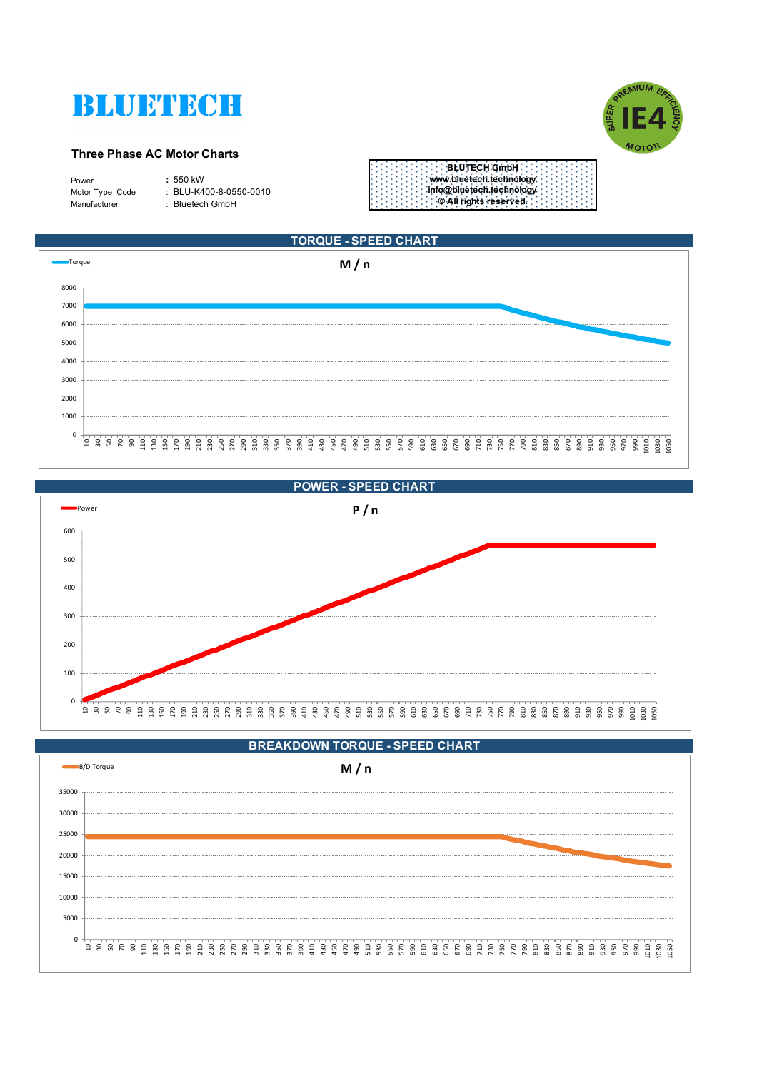



#### **Three Phase AC Motor Charts**

| Power           | $: 550$ kW                 |
|-----------------|----------------------------|
| Motor Type Code | $\pm$ BLU-K400-8-0550-0010 |
| Manufacturer    | : Bluetech GmbH            |
|                 |                            |

|  | BLUTECH GmbH:            |  |  |  |
|--|--------------------------|--|--|--|
|  | www.bluetech.technology  |  |  |  |
|  | info@bluetech.technology |  |  |  |
|  | CAll rights reserved.    |  |  |  |